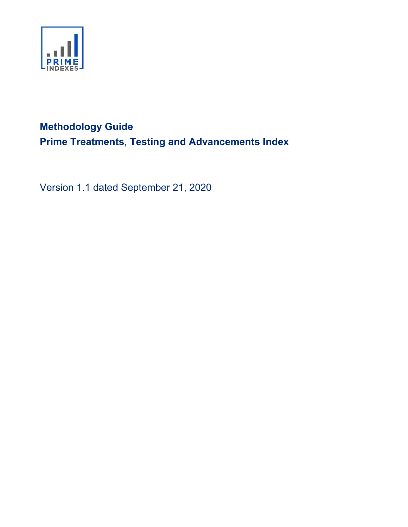

# Methodology Guide Prime Treatments, Testing and Advancements Index

Version 1.1 dated September 21, 2020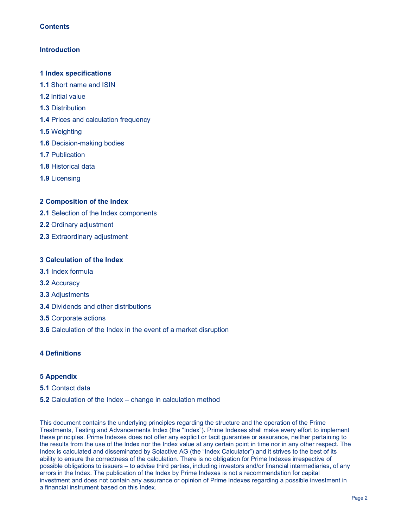# **Contents**

# **Introduction**

## 1 Index specifications

- 1.1 Short name and ISIN
- 1.2 Initial value
- 1.3 Distribution
- 1.4 Prices and calculation frequency
- 1.5 Weighting
- 1.6 Decision-making bodies
- 1.7 Publication
- 1.8 Historical data
- 1.9 Licensing

# 2 Composition of the Index

- 2.1 Selection of the Index components
- 2.2 Ordinary adjustment
- 2.3 Extraordinary adjustment

# 3 Calculation of the Index

- 3.1 Index formula
- 3.2 Accuracy
- 3.3 Adjustments
- 3.4 Dividends and other distributions
- 3.5 Corporate actions
- 3.6 Calculation of the Index in the event of a market disruption

# 4 Definitions

# 5 Appendix

#### 5.1 Contact data

#### 5.2 Calculation of the Index – change in calculation method

This document contains the underlying principles regarding the structure and the operation of the Prime Treatments, Testing and Advancements Index (the "Index"). Prime Indexes shall make every effort to implement these principles. Prime Indexes does not offer any explicit or tacit guarantee or assurance, neither pertaining to the results from the use of the Index nor the Index value at any certain point in time nor in any other respect. The Index is calculated and disseminated by Solactive AG (the "Index Calculator") and it strives to the best of its ability to ensure the correctness of the calculation. There is no obligation for Prime Indexes irrespective of possible obligations to issuers – to advise third parties, including investors and/or financial intermediaries, of any errors in the Index. The publication of the Index by Prime Indexes is not a recommendation for capital investment and does not contain any assurance or opinion of Prime Indexes regarding a possible investment in a financial instrument based on this Index.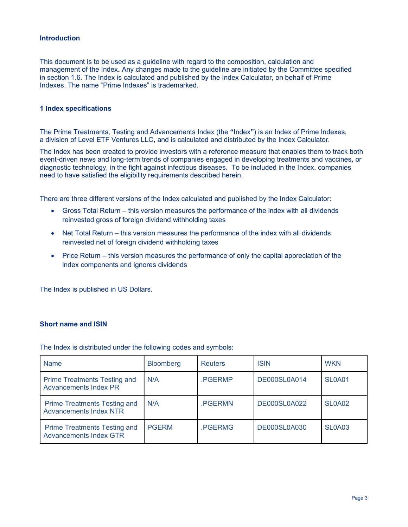# Introduction

This document is to be used as a guideline with regard to the composition, calculation and management of the Index. Any changes made to the guideline are initiated by the Committee specified in section 1.6. The Index is calculated and published by the Index Calculator, on behalf of Prime Indexes. The name "Prime Indexes" is trademarked.

## 1 Index specifications

The Prime Treatments, Testing and Advancements Index (the "Index") is an Index of Prime Indexes, a division of Level ETF Ventures LLC, and is calculated and distributed by the Index Calculator.

The Index has been created to provide investors with a reference measure that enables them to track both event-driven news and long-term trends of companies engaged in developing treatments and vaccines, or diagnostic technology, in the fight against infectious diseases. To be included in the Index, companies need to have satisfied the eligibility requirements described herein.

There are three different versions of the Index calculated and published by the Index Calculator:

- Gross Total Return this version measures the performance of the index with all dividends reinvested gross of foreign dividend withholding taxes
- Net Total Return this version measures the performance of the index with all dividends reinvested net of foreign dividend withholding taxes
- Price Return this version measures the performance of only the capital appreciation of the index components and ignores dividends

The Index is published in US Dollars.

### Short name and ISIN

The Index is distributed under the following codes and symbols:

| <b>Name</b>                                                          | <b>Bloomberg</b> | <b>Reuters</b> | <b>ISIN</b>         | <b>WKN</b>    |
|----------------------------------------------------------------------|------------------|----------------|---------------------|---------------|
| <b>Prime Treatments Testing and</b><br><b>Advancements Index PR</b>  | N/A              | .PGERMP        | DE000SL0A014        | <b>SL0A01</b> |
| <b>Prime Treatments Testing and</b><br><b>Advancements Index NTR</b> | N/A              | .PGERMN        | <b>DE000SL0A022</b> | <b>SL0A02</b> |
| <b>Prime Treatments Testing and</b><br><b>Advancements Index GTR</b> | <b>PGERM</b>     | .PGERMG        | <b>DE000SL0A030</b> | SLOA03        |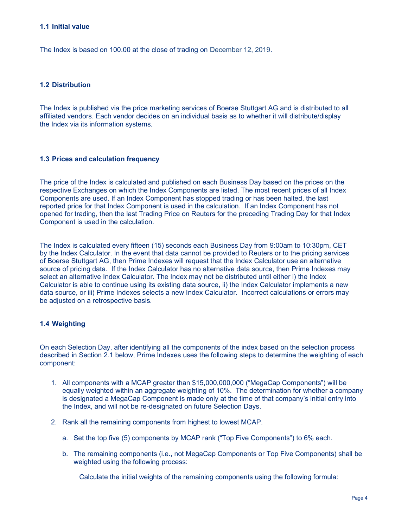#### 1.1 Initial value

The Index is based on 100.00 at the close of trading on December 12, 2019.

# 1.2 Distribution

The Index is published via the price marketing services of Boerse Stuttgart AG and is distributed to all affiliated vendors. Each vendor decides on an individual basis as to whether it will distribute/display the Index via its information systems.

#### 1.3 Prices and calculation frequency

The price of the Index is calculated and published on each Business Day based on the prices on the respective Exchanges on which the Index Components are listed. The most recent prices of all Index Components are used. If an Index Component has stopped trading or has been halted, the last reported price for that Index Component is used in the calculation. If an Index Component has not opened for trading, then the last Trading Price on Reuters for the preceding Trading Day for that Index Component is used in the calculation.

The Index is calculated every fifteen (15) seconds each Business Day from 9:00am to 10:30pm, CET by the Index Calculator. In the event that data cannot be provided to Reuters or to the pricing services of Boerse Stuttgart AG, then Prime Indexes will request that the Index Calculator use an alternative source of pricing data. If the Index Calculator has no alternative data source, then Prime Indexes may select an alternative Index Calculator. The Index may not be distributed until either i) the Index Calculator is able to continue using its existing data source, ii) the Index Calculator implements a new data source, or iii) Prime Indexes selects a new Index Calculator. Incorrect calculations or errors may be adjusted on a retrospective basis.

# 1.4 Weighting

On each Selection Day, after identifying all the components of the index based on the selection process described in Section 2.1 below, Prime Indexes uses the following steps to determine the weighting of each component:

- 1. All components with a MCAP greater than \$15,000,000,000 ("MegaCap Components") will be equally weighted within an aggregate weighting of 10%. The determination for whether a company is designated a MegaCap Component is made only at the time of that company's initial entry into the Index, and will not be re-designated on future Selection Days.
- 2. Rank all the remaining components from highest to lowest MCAP.
	- a. Set the top five (5) components by MCAP rank ("Top Five Components") to 6% each.
	- b. The remaining components (i.e., not MegaCap Components or Top Five Components) shall be weighted using the following process:

Calculate the initial weights of the remaining components using the following formula: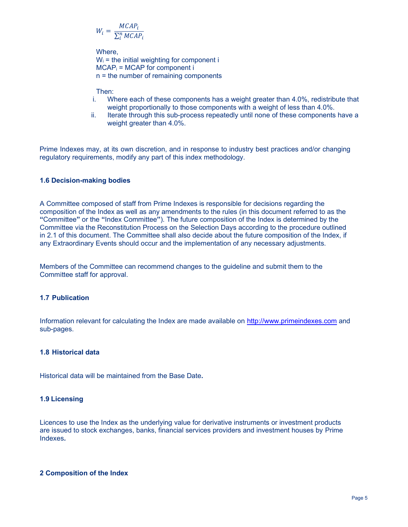$$
W_i = \frac{MCAP_i}{\sum_{i}^{n} MCAP_i}
$$

Where,  $W_i$  = the initial weighting for component i  $MCAP<sub>i</sub>$  = MCAP for component i n = the number of remaining components

Then:

- i. Where each of these components has a weight greater than 4.0%, redistribute that weight proportionally to those components with a weight of less than 4.0%.
- ii. Iterate through this sub-process repeatedly until none of these components have a weight greater than 4.0%.

Prime Indexes may, at its own discretion, and in response to industry best practices and/or changing regulatory requirements, modify any part of this index methodology.

# 1.6 Decision-making bodies

A Committee composed of staff from Prime Indexes is responsible for decisions regarding the composition of the Index as well as any amendments to the rules (in this document referred to as the "Committee" or the "Index Committee"). The future composition of the Index is determined by the Committee via the Reconstitution Process on the Selection Days according to the procedure outlined in 2.1 of this document. The Committee shall also decide about the future composition of the Index, if any Extraordinary Events should occur and the implementation of any necessary adjustments.

Members of the Committee can recommend changes to the guideline and submit them to the Committee staff for approval.

# 1.7 Publication

Information relevant for calculating the Index are made available on http://www.primeindexes.com and sub-pages.

# 1.8 Historical data

Historical data will be maintained from the Base Date.

# 1.9 Licensing

Licences to use the Index as the underlying value for derivative instruments or investment products are issued to stock exchanges, banks, financial services providers and investment houses by Prime Indexes.

# 2 Composition of the Index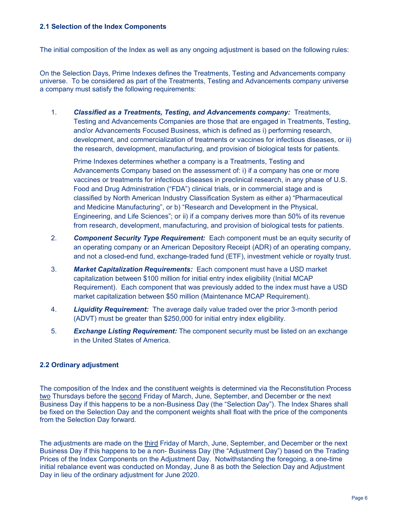### 2.1 Selection of the Index Components

The initial composition of the Index as well as any ongoing adjustment is based on the following rules:

On the Selection Days, Prime Indexes defines the Treatments, Testing and Advancements company universe. To be considered as part of the Treatments, Testing and Advancements company universe a company must satisfy the following requirements:

1. Classified as a Treatments, Testing, and Advancements company: Treatments, Testing and Advancements Companies are those that are engaged in Treatments, Testing, and/or Advancements Focused Business, which is defined as i) performing research, development, and commercialization of treatments or vaccines for infectious diseases, or ii) the research, development, manufacturing, and provision of biological tests for patients.

Prime Indexes determines whether a company is a Treatments, Testing and Advancements Company based on the assessment of: i) if a company has one or more vaccines or treatments for infectious diseases in preclinical research, in any phase of U.S. Food and Drug Administration ("FDA") clinical trials, or in commercial stage and is classified by North American Industry Classification System as either a) "Pharmaceutical and Medicine Manufacturing", or b) "Research and Development in the Physical, Engineering, and Life Sciences"; or ii) if a company derives more than 50% of its revenue from research, development, manufacturing, and provision of biological tests for patients.

- 2. Component Security Type Requirement: Each component must be an equity security of an operating company or an American Depository Receipt (ADR) of an operating company, and not a closed-end fund, exchange-traded fund (ETF), investment vehicle or royalty trust.
- 3. Market Capitalization Requirements: Each component must have a USD market capitalization between \$100 million for initial entry index eligibility (Initial MCAP Requirement). Each component that was previously added to the index must have a USD market capitalization between \$50 million (Maintenance MCAP Requirement).
- 4. **Liquidity Requirement:** The average daily value traded over the prior 3-month period (ADVT) must be greater than \$250,000 for initial entry index eligibility.
- 5. **Exchange Listing Requirement:** The component security must be listed on an exchange in the United States of America.

# 2.2 Ordinary adjustment

The composition of the Index and the constituent weights is determined via the Reconstitution Process two Thursdays before the second Friday of March, June, September, and December or the next Business Day if this happens to be a non-Business Day (the "Selection Day"). The Index Shares shall be fixed on the Selection Day and the component weights shall float with the price of the components from the Selection Day forward.

The adjustments are made on the third Friday of March, June, September, and December or the next Business Day if this happens to be a non- Business Day (the "Adjustment Day") based on the Trading Prices of the Index Components on the Adjustment Day. Notwithstanding the foregoing, a one-time initial rebalance event was conducted on Monday, June 8 as both the Selection Day and Adjustment Day in lieu of the ordinary adjustment for June 2020.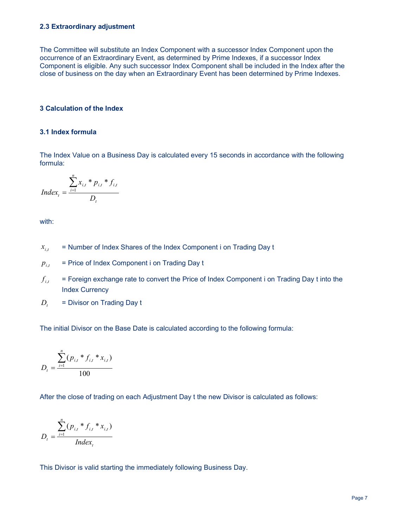#### 2.3 Extraordinary adjustment

The Committee will substitute an Index Component with a successor Index Component upon the occurrence of an Extraordinary Event, as determined by Prime Indexes, if a successor Index Component is eligible. Any such successor Index Component shall be included in the Index after the close of business on the day when an Extraordinary Event has been determined by Prime Indexes.

## 3 Calculation of the Index

# 3.1 Index formula

The Index Value on a Business Day is calculated every 15 seconds in accordance with the following formula:

$$
Index_t = \frac{\sum_{i=1}^{n} x_{i,t} * p_{i,t} * f_{i,t}}{D_t}
$$

with:

- = Number of Index Shares of the Index Component i on Trading Day t  $x_{i,t}$
- = Price of Index Component i on Trading Day t  $p_{i,t}$
- = Foreign exchange rate to convert the Price of Index Component i on Trading Day t into the Index Currency  $f_{_{i,t}}$
- = Divisor on Trading Day t  $D_{t}$

The initial Divisor on the Base Date is calculated according to the following formula:

$$
D_{t} = \frac{\sum_{i=1}^{n} (p_{i,t} * f_{i,t} * x_{i,t})}{100}
$$

After the close of trading on each Adjustment Day t the new Divisor is calculated as follows:

$$
D_{t} = \frac{\sum_{i=1}^{n} (p_{i,t} * f_{i,t} * x_{i,t})}{Index_{t}}
$$

This Divisor is valid starting the immediately following Business Day.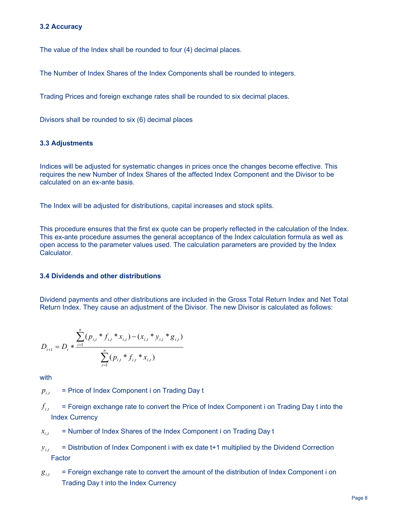### 3.2 Accuracy

The value of the Index shall be rounded to four (4) decimal places.

The Number of Index Shares of the Index Components shall be rounded to integers.

Trading Prices and foreign exchange rates shall be rounded to six decimal places.

Divisors shall be rounded to six (6) decimal places

#### 3.3 Adjustments

Indices will be adjusted for systematic changes in prices once the changes become effective. This requires the new Number of Index Shares of the affected Index Component and the Divisor to be calculated on an ex-ante basis.

The Index will be adjusted for distributions, capital increases and stock splits.

This procedure ensures that the first ex quote can be properly reflected in the calculation of the Index. This ex-ante procedure assumes the general acceptance of the Index calculation formula as well as open access to the parameter values used. The calculation parameters are provided by the Index Calculator.

# 3.4 Dividends and other distributions

Dividend payments and other distributions are included in the Gross Total Return Index and Net Total Return Index. They cause an adjustment of the Divisor. The new Divisor is calculated as follows:

$$
D_{t+1} = D_t * \frac{\sum_{i=1}^n (p_{i,t} * f_{i,t} * x_{i,t}) - (x_{i,t} * y_{i,t} * g_{i,t})}{\sum_{i=1}^n (p_{i,t} * f_{i,t} * x_{i,t})}
$$

with

- = Price of Index Component i on Trading Day t  $p_{i,t}$
- = Foreign exchange rate to convert the Price of Index Component i on Trading Day t into the Index Currency  $f_{_{i,t}}$
- = Number of Index Shares of the Index Component i on Trading Day t  $x_{i,t}$
- = Distribution of Index Component i with ex date t+1 multiplied by the Dividend Correction Factor  $y_{i,t}$
- = Foreign exchange rate to convert the amount of the distribution of Index Component i on Trading Day t into the Index Currency  $g_{i,t}$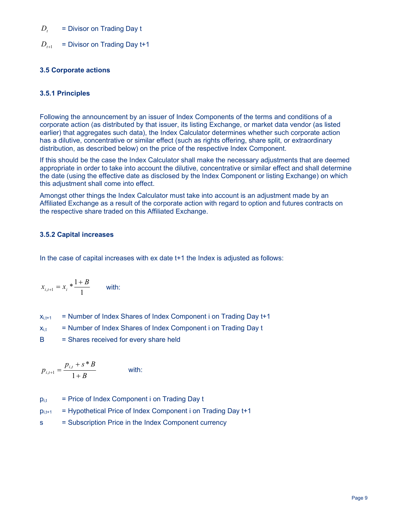#### = Divisor on Trading Day t  $D_{t}$

 = Divisor on Trading Day t+1  $D_{t+1}$ 

# 3.5 Corporate actions

# 3.5.1 Principles

Following the announcement by an issuer of Index Components of the terms and conditions of a corporate action (as distributed by that issuer, its listing Exchange, or market data vendor (as listed earlier) that aggregates such data), the Index Calculator determines whether such corporate action has a dilutive, concentrative or similar effect (such as rights offering, share split, or extraordinary distribution, as described below) on the price of the respective Index Component.

If this should be the case the Index Calculator shall make the necessary adjustments that are deemed appropriate in order to take into account the dilutive, concentrative or similar effect and shall determine the date (using the effective date as disclosed by the Index Component or listing Exchange) on which this adjustment shall come into effect.

Amongst other things the Index Calculator must take into account is an adjustment made by an Affiliated Exchange as a result of the corporate action with regard to option and futures contracts on the respective share traded on this Affiliated Exchange.

# 3.5.2 Capital increases

In the case of capital increases with ex date t+1 the Index is adjusted as follows:

$$
x_{i,t+1} = x_i * \frac{1+B}{1}
$$
 with:

| $X_{i,t+1}$ |  | = Number of Index Shares of Index Component i on Trading Day t+1 |  |  |
|-------------|--|------------------------------------------------------------------|--|--|
|-------------|--|------------------------------------------------------------------|--|--|

 $x_{i,t}$  = Number of Index Shares of Index Component i on Trading Day t

B = Shares received for every share held

$$
p_{i,i+1} = \frac{p_{i,i} + s * B}{1 + B}
$$
 with:

- $p_{i,t}$  = Price of Index Component i on Trading Day t
- $p_{i,t+1}$  = Hypothetical Price of Index Component i on Trading Day  $t+1$
- s = Subscription Price in the Index Component currency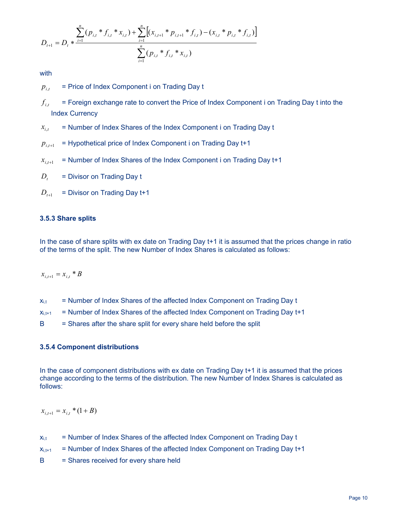$$
D_{t+1} = D_t * \frac{\sum_{i=1}^{n} (p_{i,t} * f_{i,t} * x_{i,t}) + \sum_{i=1}^{n} [(x_{i,t+1} * p_{i,t+1} * f_{i,t}) - (x_{i,t} * p_{i,t} * f_{i,t})]}{\sum_{i=1}^{n} (p_{i,t} * f_{i,t} * x_{i,t})}
$$

with

 = Price of Index Component i on Trading Day t  $p_{it}$ 

 = Foreign exchange rate to convert the Price of Index Component i on Trading Day t into the Index Currency  $f_{_{i,t}}$ 

 = Number of Index Shares of the Index Component i on Trading Day t  $x_{i,t}$ 

- = Hypothetical price of Index Component i on Trading Day t+1  $p_{i,t+1}$
- = Number of Index Shares of the Index Component i on Trading Day t+1  $x_{i,t+1}$
- = Divisor on Trading Day t  $D_t$
- = Divisor on Trading Day t+1  $D_{i+1}$

#### 3.5.3 Share splits

In the case of share splits with ex date on Trading Day t+1 it is assumed that the prices change in ratio of the terms of the split. The new Number of Index Shares is calculated as follows:

 $x_{i,t+1} = x_{i,t} * B$ 

- $x_{i,t}$  = Number of Index Shares of the affected Index Component on Trading Day t
- $x_{i,t+1}$  = Number of Index Shares of the affected Index Component on Trading Day t+1
- $B =$  Shares after the share split for every share held before the split

#### 3.5.4 Component distributions

In the case of component distributions with ex date on Trading Day t+1 it is assumed that the prices change according to the terms of the distribution. The new Number of Index Shares is calculated as follows:

 $x_{i,t+1} = x_{i,t} * (1 + B)$ 

- $x_{i,t}$  = Number of Index Shares of the affected Index Component on Trading Day t
- $x_{i,t+1}$  = Number of Index Shares of the affected Index Component on Trading Day t+1
- B = Shares received for every share held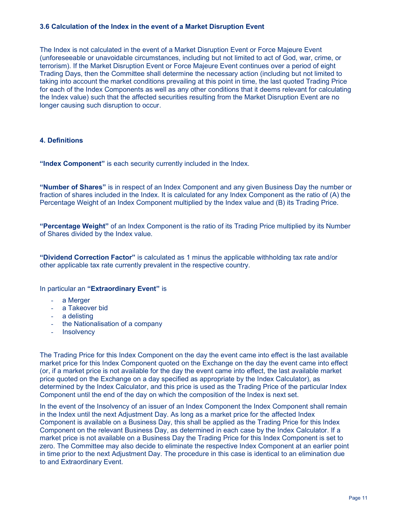#### 3.6 Calculation of the Index in the event of a Market Disruption Event

The Index is not calculated in the event of a Market Disruption Event or Force Majeure Event (unforeseeable or unavoidable circumstances, including but not limited to act of God, war, crime, or terrorism). If the Market Disruption Event or Force Majeure Event continues over a period of eight Trading Days, then the Committee shall determine the necessary action (including but not limited to taking into account the market conditions prevailing at this point in time, the last quoted Trading Price for each of the Index Components as well as any other conditions that it deems relevant for calculating the Index value) such that the affected securities resulting from the Market Disruption Event are no longer causing such disruption to occur.

# 4. Definitions

"Index Component" is each security currently included in the Index.

"Number of Shares" is in respect of an Index Component and any given Business Day the number or fraction of shares included in the Index. It is calculated for any Index Component as the ratio of (A) the Percentage Weight of an Index Component multiplied by the Index value and (B) its Trading Price.

"Percentage Weight" of an Index Component is the ratio of its Trading Price multiplied by its Number of Shares divided by the Index value.

"Dividend Correction Factor" is calculated as 1 minus the applicable withholding tax rate and/or other applicable tax rate currently prevalent in the respective country.

#### In particular an "Extraordinary Event" is

- a Merger
- a Takeover bid
- a delisting
- the Nationalisation of a company
- **Insolvency**

The Trading Price for this Index Component on the day the event came into effect is the last available market price for this Index Component quoted on the Exchange on the day the event came into effect (or, if a market price is not available for the day the event came into effect, the last available market price quoted on the Exchange on a day specified as appropriate by the Index Calculator), as determined by the Index Calculator, and this price is used as the Trading Price of the particular Index Component until the end of the day on which the composition of the Index is next set.

In the event of the Insolvency of an issuer of an Index Component the Index Component shall remain in the Index until the next Adjustment Day. As long as a market price for the affected Index Component is available on a Business Day, this shall be applied as the Trading Price for this Index Component on the relevant Business Day, as determined in each case by the Index Calculator. If a market price is not available on a Business Day the Trading Price for this Index Component is set to zero. The Committee may also decide to eliminate the respective Index Component at an earlier point in time prior to the next Adjustment Day. The procedure in this case is identical to an elimination due to and Extraordinary Event.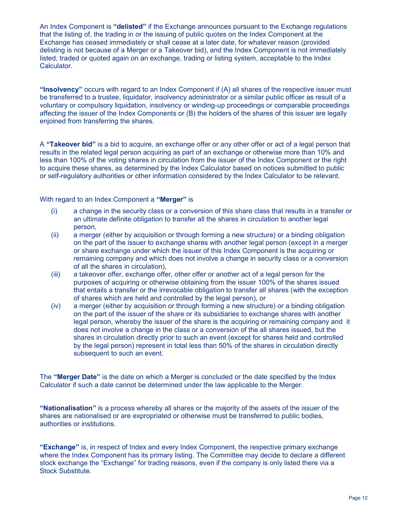An Index Component is "delisted" if the Exchange announces pursuant to the Exchange regulations that the listing of, the trading in or the issuing of public quotes on the Index Component at the Exchange has ceased immediately or shall cease at a later date, for whatever reason (provided delisting is not because of a Merger or a Takeover bid), and the Index Component is not immediately listed, traded or quoted again on an exchange, trading or listing system, acceptable to the Index Calculator.

"Insolvency" occurs with regard to an Index Component if (A) all shares of the respective issuer must be transferred to a trustee, liquidator, insolvency administrator or a similar public officer as result of a voluntary or compulsory liquidation, insolvency or winding-up proceedings or comparable proceedings affecting the issuer of the Index Components or (B) the holders of the shares of this issuer are legally enjoined from transferring the shares.

A "Takeover bid" is a bid to acquire, an exchange offer or any other offer or act of a legal person that results in the related legal person acquiring as part of an exchange or otherwise more than 10% and less than 100% of the voting shares in circulation from the issuer of the Index Component or the right to acquire these shares, as determined by the Index Calculator based on notices submitted to public or self-regulatory authorities or other information considered by the Index Calculator to be relevant.

With regard to an Index Component a "Merger" is

- (i) a change in the security class or a conversion of this share class that results in a transfer or an ultimate definite obligation to transfer all the shares in circulation to another legal person,
- (ii) a merger (either by acquisition or through forming a new structure) or a binding obligation on the part of the issuer to exchange shares with another legal person (except in a merger or share exchange under which the issuer of this Index Component is the acquiring or remaining company and which does not involve a change in security class or a conversion of all the shares in circulation),
- (iii) a takeover offer, exchange offer, other offer or another act of a legal person for the purposes of acquiring or otherwise obtaining from the issuer 100% of the shares issued that entails a transfer or the irrevocable obligation to transfer all shares (with the exception of shares which are held and controlled by the legal person), or
- (iv) a merger (either by acquisition or through forming a new structure) or a binding obligation on the part of the issuer of the share or its subsidiaries to exchange shares with another legal person, whereby the issuer of the share is the acquiring or remaining company and it does not involve a change in the class or a conversion of the all shares issued, but the shares in circulation directly prior to such an event (except for shares held and controlled by the legal person) represent in total less than 50% of the shares in circulation directly subsequent to such an event.

The "Merger Date" is the date on which a Merger is concluded or the date specified by the Index Calculator if such a date cannot be determined under the law applicable to the Merger.

"Nationalisation" is a process whereby all shares or the majority of the assets of the issuer of the shares are nationalised or are expropriated or otherwise must be transferred to public bodies, authorities or institutions.

**"Exchange"** is, in respect of Index and every Index Component, the respective primary exchange where the Index Component has its primary listing. The Committee may decide to declare a different stock exchange the "Exchange" for trading reasons, even if the company is only listed there via a Stock Substitute.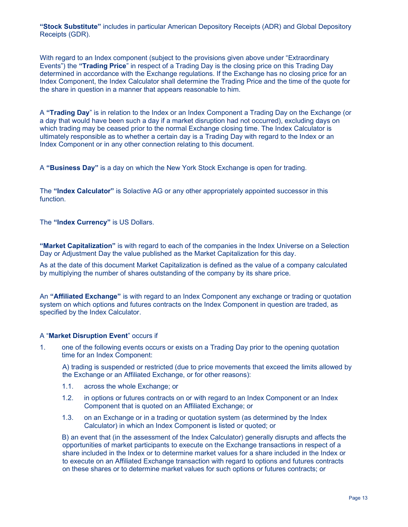"Stock Substitute" includes in particular American Depository Receipts (ADR) and Global Depository Receipts (GDR).

With regard to an Index component (subject to the provisions given above under "Extraordinary Events") the "Trading Price" in respect of a Trading Day is the closing price on this Trading Day determined in accordance with the Exchange regulations. If the Exchange has no closing price for an Index Component, the Index Calculator shall determine the Trading Price and the time of the quote for the share in question in a manner that appears reasonable to him.

A "Trading Day" is in relation to the Index or an Index Component a Trading Day on the Exchange (or a day that would have been such a day if a market disruption had not occurred), excluding days on which trading may be ceased prior to the normal Exchange closing time. The Index Calculator is ultimately responsible as to whether a certain day is a Trading Day with regard to the Index or an Index Component or in any other connection relating to this document.

A "Business Day" is a day on which the New York Stock Exchange is open for trading.

The "Index Calculator" is Solactive AG or any other appropriately appointed successor in this function.

The "Index Currency" is US Dollars.

"Market Capitalization" is with regard to each of the companies in the Index Universe on a Selection Day or Adjustment Day the value published as the Market Capitalization for this day.

As at the date of this document Market Capitalization is defined as the value of a company calculated by multiplying the number of shares outstanding of the company by its share price.

An "**Affiliated Exchange**" is with regard to an Index Component any exchange or trading or quotation system on which options and futures contracts on the Index Component in question are traded, as specified by the Index Calculator.

# A "Market Disruption Event" occurs if

1. one of the following events occurs or exists on a Trading Day prior to the opening quotation time for an Index Component:

A) trading is suspended or restricted (due to price movements that exceed the limits allowed by the Exchange or an Affiliated Exchange, or for other reasons):

- 1.1. across the whole Exchange; or
- 1.2. in options or futures contracts on or with regard to an Index Component or an Index Component that is quoted on an Affiliated Exchange; or
- 1.3. on an Exchange or in a trading or quotation system (as determined by the Index Calculator) in which an Index Component is listed or quoted; or

B) an event that (in the assessment of the Index Calculator) generally disrupts and affects the opportunities of market participants to execute on the Exchange transactions in respect of a share included in the Index or to determine market values for a share included in the Index or to execute on an Affiliated Exchange transaction with regard to options and futures contracts on these shares or to determine market values for such options or futures contracts; or